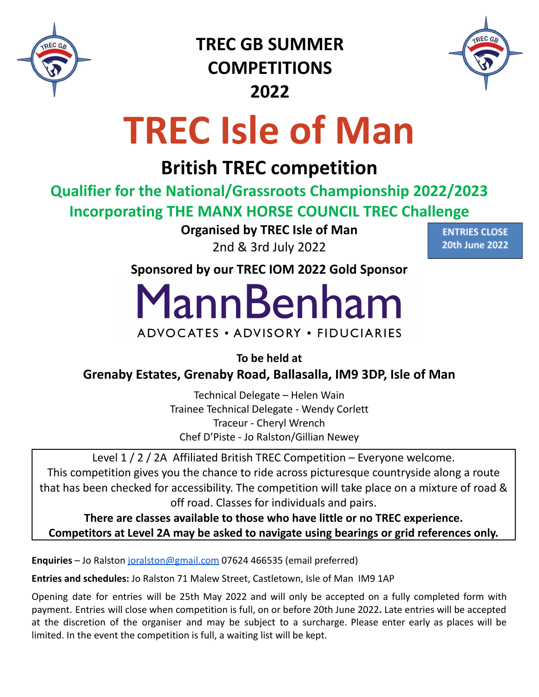

**TREC GB SUMMER COMPETITIONS 2022**



# **TREC Isle of Man**

# **British TREC competition**

**Qualifier for the National/Grassroots Championship 2022/2023 Incorporating THE MANX HORSE COUNCIL TREC Challenge**

> **Organised by TREC Isle of Man** 2nd & 3rd July 2022

**ENTRIES CLOSE 20th June 2022** 

**Sponsored by our TREC IOM 2022 Gold Sponsor**

MannBenham

## ADVOCATES • ADVISORY • FIDUCIARIES

**To be held at**

**Grenaby Estates, Grenaby Road, Ballasalla, IM9 3DP, Isle of Man**

Technical Delegate – Helen Wain Trainee Technical Delegate - Wendy Corlett Traceur - Cheryl Wrench Chef D'Piste - Jo Ralston/Gillian Newey

Level 1 / 2 / 2A Affiliated British TREC Competition – Everyone welcome. This competition gives you the chance to ride across picturesque countryside along a route that has been checked for accessibility. The competition will take place on a mixture of road & off road. Classes for individuals and pairs.

**There are classes available to those who have little or no TREC experience. Competitors at Level 2A may be asked to navigate using bearings or grid references only.**

**Enquiries** – Jo Ralston [joralston@gmail.com](mailto:joralston@gmail.com) 07624 466535 (email preferred)

**Entries and schedules:** Jo Ralston 71 Malew Street, Castletown, Isle of Man IM9 1AP

Opening date for entries will be 25th May 2022 and will only be accepted on a fully completed form with payment. Entries will close when competition is full, on or before 20th June 2022**.** Late entries will be accepted at the discretion of the organiser and may be subject to a surcharge. Please enter early as places will be limited. In the event the competition is full, a waiting list will be kept.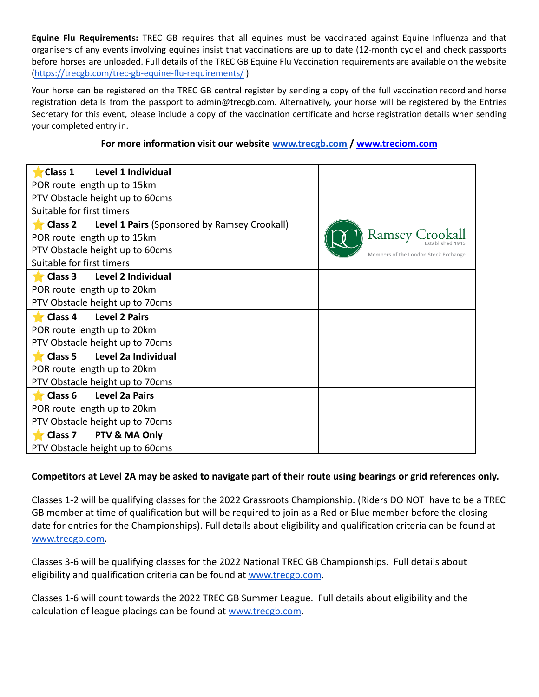**Equine Flu Requirements:** TREC GB requires that all equines must be vaccinated against Equine Influenza and that organisers of any events involving equines insist that vaccinations are up to date (12-month cycle) and check passports before horses are unloaded. Full details of the TREC GB Equine Flu Vaccination requirements are available on the website [\(https://trecgb.com/trec-gb-equine-flu-requirements/](https://trecgb.com/trec-gb-equine-flu-requirements/) )

Your horse can be registered on the TREC GB central register by sending a copy of the full vaccination record and horse registration details from the passport to admin@trecgb.com. Alternatively, your horse will be registered by the Entries Secretary for this event, please include a copy of the vaccination certificate and horse registration details when sending your completed entry in.

#### **For more information visit our website [www.trecgb.com](http://www.trecgb.com) / [www.treciom.com](http://www.treciom.com)**

| Level 1 Individual<br>Class 1                                                 |                                      |  |  |  |
|-------------------------------------------------------------------------------|--------------------------------------|--|--|--|
| POR route length up to 15km                                                   |                                      |  |  |  |
| PTV Obstacle height up to 60cms                                               |                                      |  |  |  |
| Suitable for first timers                                                     |                                      |  |  |  |
| Level 1 Pairs (Sponsored by Ramsey Crookall)<br>$\blacktriangleright$ Class 2 |                                      |  |  |  |
| POR route length up to 15km                                                   | <b>Ramsey Croo.</b>                  |  |  |  |
| PTV Obstacle height up to 60cms                                               | Members of the London Stock Exchange |  |  |  |
| Suitable for first timers                                                     |                                      |  |  |  |
| <b>Level 2 Individual</b><br>$\blacksquare$ Class 3                           |                                      |  |  |  |
| POR route length up to 20km                                                   |                                      |  |  |  |
| PTV Obstacle height up to 70cms                                               |                                      |  |  |  |
| Class 4<br><b>Level 2 Pairs</b>                                               |                                      |  |  |  |
| POR route length up to 20km                                                   |                                      |  |  |  |
| PTV Obstacle height up to 70cms                                               |                                      |  |  |  |
| Level 2a Individual<br>$\blacksquare$ Class 5                                 |                                      |  |  |  |
| POR route length up to 20km                                                   |                                      |  |  |  |
| PTV Obstacle height up to 70cms                                               |                                      |  |  |  |
| <b>Level 2a Pairs</b><br>$\blacktriangleright$ Class 6                        |                                      |  |  |  |
| POR route length up to 20km                                                   |                                      |  |  |  |
| PTV Obstacle height up to 70cms                                               |                                      |  |  |  |
|                                                                               |                                      |  |  |  |
| $\blacktriangleright$ Class 7<br>PTV & MA Only                                |                                      |  |  |  |

#### **Competitors at Level 2A may be asked to navigate part of their route using bearings or grid references only.**

Classes 1-2 will be qualifying classes for the 2022 Grassroots Championship. (Riders DO NOT have to be a TREC GB member at time of qualification but will be required to join as a Red or Blue member before the closing date for entries for the Championships). Full details about eligibility and qualification criteria can be found at [www.trecgb.com.](http://www.trecgb.com/)

Classes 3-6 will be qualifying classes for the 2022 National TREC GB Championships. Full details about eligibility and qualification criteria can be found at [www.trecgb.com](http://www.trecgb.com/).

Classes 1-6 will count towards the 2022 TREC GB Summer League. Full details about eligibility and the calculation of league placings can be found at [www.trecgb.com](http://www.trecgb.com/).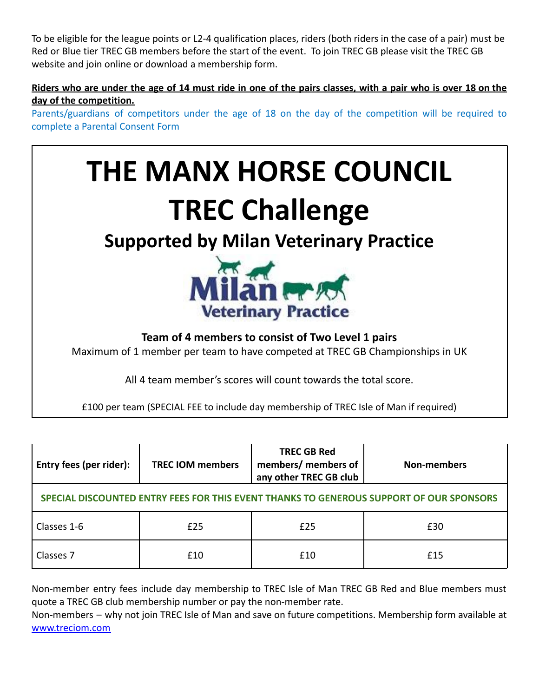To be eligible for the league points or L2-4 qualification places, riders (both riders in the case of a pair) must be Red or Blue tier TREC GB members before the start of the event. To join TREC GB please visit the TREC GB website and join online or download a membership form.

#### Riders who are under the age of 14 must ride in one of the pairs classes, with a pair who is over 18 on the **day of the competition.**

Parents/guardians of competitors under the age of 18 on the day of the competition will be required to complete a Parental Consent Form



£100 per team (SPECIAL FEE to include day membership of TREC Isle of Man if required)

| Entry fees (per rider):                                                                 | <b>TREC IOM members</b> | <b>TREC GB Red</b><br>members/ members of<br>any other TREC GB club | <b>Non-members</b> |
|-----------------------------------------------------------------------------------------|-------------------------|---------------------------------------------------------------------|--------------------|
| SPECIAL DISCOUNTED ENTRY FEES FOR THIS EVENT THANKS TO GENEROUS SUPPORT OF OUR SPONSORS |                         |                                                                     |                    |
| Classes 1-6                                                                             | £25                     | £25                                                                 | £30                |
| Classes 7                                                                               | £10                     | £10                                                                 | f15                |

Non-member entry fees include day membership to TREC Isle of Man TREC GB Red and Blue members must quote a TREC GB club membership number or pay the non-member rate.

Non-members – why not join TREC Isle of Man and save on future competitions. Membership form available at [www.treciom.com](http://www.treciom.com)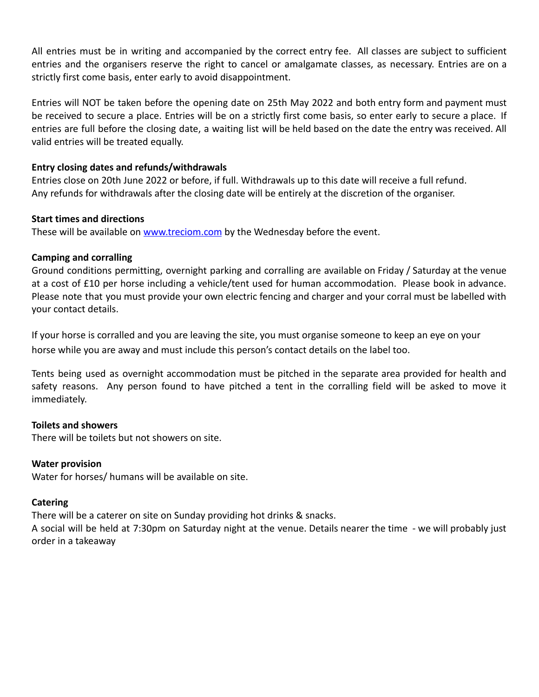All entries must be in writing and accompanied by the correct entry fee. All classes are subject to sufficient entries and the organisers reserve the right to cancel or amalgamate classes, as necessary. Entries are on a strictly first come basis, enter early to avoid disappointment.

Entries will NOT be taken before the opening date on 25th May 2022 and both entry form and payment must be received to secure a place. Entries will be on a strictly first come basis, so enter early to secure a place. If entries are full before the closing date, a waiting list will be held based on the date the entry was received. All valid entries will be treated equally.

#### **Entry closing dates and refunds/withdrawals**

Entries close on 20th June 2022 or before, if full. Withdrawals up to this date will receive a full refund. Any refunds for withdrawals after the closing date will be entirely at the discretion of the organiser.

#### **Start times and directions**

These will be available on [www.treciom.com](http://www.treciom.com) by the Wednesday before the event.

#### **Camping and corralling**

Ground conditions permitting, overnight parking and corralling are available on Friday / Saturday at the venue at a cost of £10 per horse including a vehicle/tent used for human accommodation. Please book in advance. Please note that you must provide your own electric fencing and charger and your corral must be labelled with your contact details.

If your horse is corralled and you are leaving the site, you must organise someone to keep an eye on your horse while you are away and must include this person's contact details on the label too.

Tents being used as overnight accommodation must be pitched in the separate area provided for health and safety reasons. Any person found to have pitched a tent in the corralling field will be asked to move it immediately.

#### **Toilets and showers**

There will be toilets but not showers on site.

#### **Water provision**

Water for horses/ humans will be available on site.

#### **Catering**

There will be a caterer on site on Sunday providing hot drinks & snacks.

A social will be held at 7:30pm on Saturday night at the venue. Details nearer the time - we will probably just order in a takeaway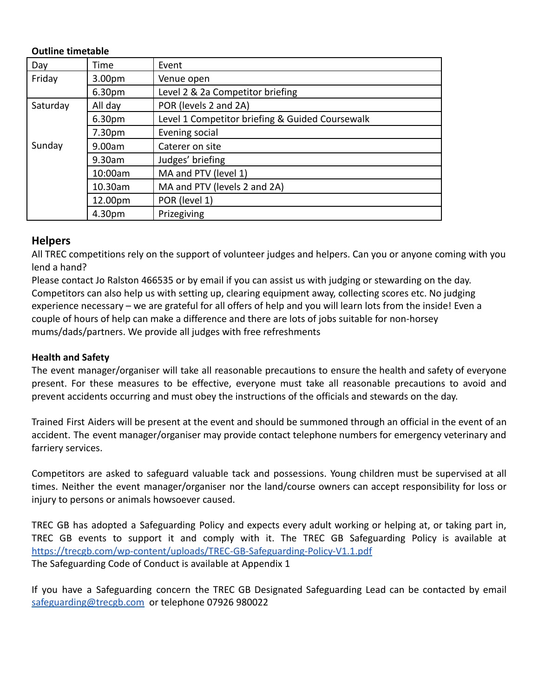#### **Outline timetable**

| Day      | Time               | Event                                           |
|----------|--------------------|-------------------------------------------------|
| Friday   | 3.00 <sub>pm</sub> | Venue open                                      |
|          | 6.30 <sub>pm</sub> | Level 2 & 2a Competitor briefing                |
| Saturday | All day            | POR (levels 2 and 2A)                           |
|          | 6.30 <sub>pm</sub> | Level 1 Competitor briefing & Guided Coursewalk |
|          | 7.30 <sub>pm</sub> | Evening social                                  |
| Sunday   | 9.00am             | Caterer on site                                 |
|          | $9.30$ am          | Judges' briefing                                |
|          | 10:00am            | MA and PTV (level 1)                            |
|          | 10.30am            | MA and PTV (levels 2 and 2A)                    |
|          | 12.00pm            | POR (level 1)                                   |
|          | 4.30pm             | Prizegiving                                     |

#### **Helpers**

All TREC competitions rely on the support of volunteer judges and helpers. Can you or anyone coming with you lend a hand?

Please contact Jo Ralston 466535 or by email if you can assist us with judging or stewarding on the day. Competitors can also help us with setting up, clearing equipment away, collecting scores etc. No judging experience necessary – we are grateful for all offers of help and you will learn lots from the inside! Even a couple of hours of help can make a difference and there are lots of jobs suitable for non-horsey mums/dads/partners. We provide all judges with free refreshments

#### **Health and Safety**

The event manager/organiser will take all reasonable precautions to ensure the health and safety of everyone present. For these measures to be effective, everyone must take all reasonable precautions to avoid and prevent accidents occurring and must obey the instructions of the officials and stewards on the day.

Trained First Aiders will be present at the event and should be summoned through an official in the event of an accident. The event manager/organiser may provide contact telephone numbers for emergency veterinary and farriery services.

Competitors are asked to safeguard valuable tack and possessions. Young children must be supervised at all times. Neither the event manager/organiser nor the land/course owners can accept responsibility for loss or injury to persons or animals howsoever caused.

TREC GB has adopted a Safeguarding Policy and expects every adult working or helping at, or taking part in, TREC GB events to support it and comply with it. The TREC GB Safeguarding Policy is available at <https://trecgb.com/wp-content/uploads/TREC-GB-Safeguarding-Policy-V1.1.pdf> The Safeguarding Code of Conduct is available at Appendix 1

If you have a Safeguarding concern the TREC GB Designated Safeguarding Lead can be contacted by email [safeguarding@trecgb.com](mailto:safeguarding@trecgb.com) or telephone 07926 980022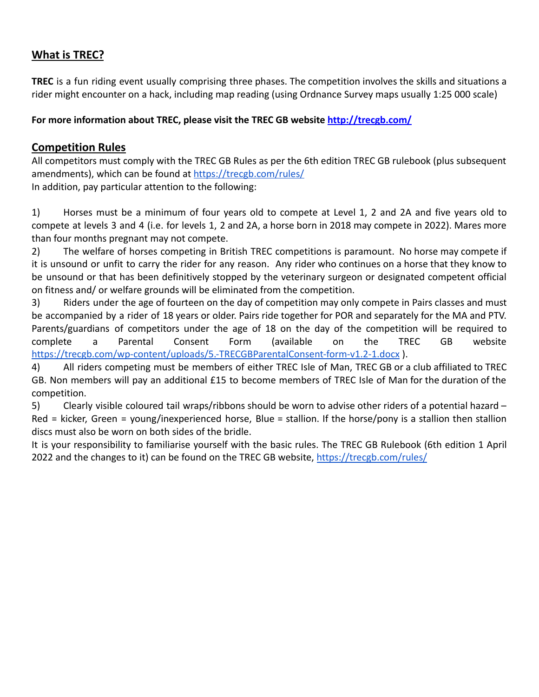### **What is TREC?**

**TREC** is a fun riding event usually comprising three phases. The competition involves the skills and situations a rider might encounter on a hack, including map reading (using Ordnance Survey maps usually 1:25 000 scale)

#### **For more information about TREC, please visit the TREC GB website http://trecgb.com/**

#### **Competition Rules**

All competitors must comply with the TREC GB Rules as per the 6th edition TREC GB rulebook (plus subsequent amendments), which can be found at <https://trecgb.com/rules/> In addition, pay particular attention to the following:

1) Horses must be a minimum of four years old to compete at Level 1, 2 and 2A and five years old to compete at levels 3 and 4 (i.e. for levels 1, 2 and 2A, a horse born in 2018 may compete in 2022). Mares more than four months pregnant may not compete.

2) The welfare of horses competing in British TREC competitions is paramount. No horse may compete if it is unsound or unfit to carry the rider for any reason. Any rider who continues on a horse that they know to be unsound or that has been definitively stopped by the veterinary surgeon or designated competent official on fitness and/ or welfare grounds will be eliminated from the competition.

3) Riders under the age of fourteen on the day of competition may only compete in Pairs classes and must be accompanied by a rider of 18 years or older. Pairs ride together for POR and separately for the MA and PTV. Parents/guardians of competitors under the age of 18 on the day of the competition will be required to complete a Parental Consent Form (available on the TREC GB website <https://trecgb.com/wp-content/uploads/5.-TRECGBParentalConsent-form-v1.2-1.docx> ).

4) All riders competing must be members of either TREC Isle of Man, TREC GB or a club affiliated to TREC GB. Non members will pay an additional £15 to become members of TREC Isle of Man for the duration of the competition.

5) Clearly visible coloured tail wraps/ribbons should be worn to advise other riders of a potential hazard – Red = kicker, Green = young/inexperienced horse, Blue = stallion. If the horse/pony is a stallion then stallion discs must also be worn on both sides of the bridle.

It is your responsibility to familiarise yourself with the basic rules. The TREC GB Rulebook (6th edition 1 April 2022 and the changes to it) can be found on the TREC GB website, <https://trecgb.com/rules/>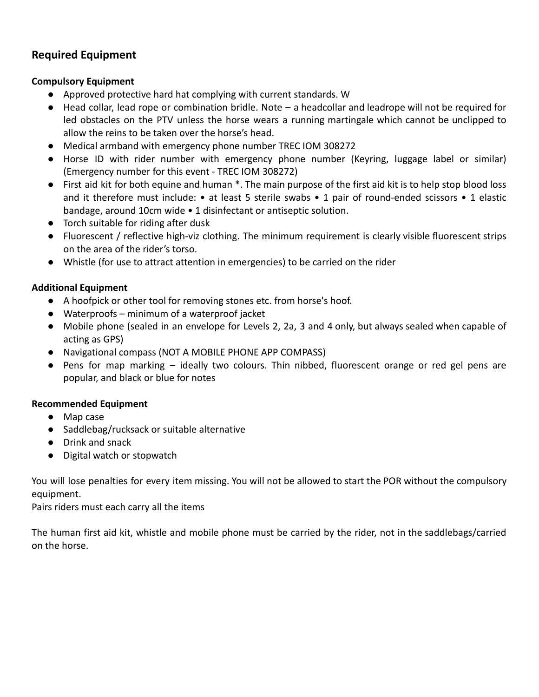#### **Required Equipment**

#### **Compulsory Equipment**

- Approved protective hard hat complying with current standards. W
- Head collar, lead rope or combination bridle. Note a headcollar and leadrope will not be required for led obstacles on the PTV unless the horse wears a running martingale which cannot be unclipped to allow the reins to be taken over the horse's head.
- Medical armband with emergency phone number TREC IOM 308272
- Horse ID with rider number with emergency phone number (Keyring, luggage label or similar) (Emergency number for this event - TREC IOM 308272)
- First aid kit for both equine and human \*. The main purpose of the first aid kit is to help stop blood loss and it therefore must include: • at least 5 sterile swabs • 1 pair of round-ended scissors • 1 elastic bandage, around 10cm wide • 1 disinfectant or antiseptic solution.
- Torch suitable for riding after dusk
- Fluorescent / reflective high-viz clothing. The minimum requirement is clearly visible fluorescent strips on the area of the rider's torso.
- Whistle (for use to attract attention in emergencies) to be carried on the rider

#### **Additional Equipment**

- A hoofpick or other tool for removing stones etc. from horse's hoof.
- Waterproofs minimum of a waterproof jacket
- Mobile phone (sealed in an envelope for Levels 2, 2a, 3 and 4 only, but always sealed when capable of acting as GPS)
- Navigational compass (NOT A MOBILE PHONE APP COMPASS)
- Pens for map marking ideally two colours. Thin nibbed, fluorescent orange or red gel pens are popular, and black or blue for notes

#### **Recommended Equipment**

- Map case
- Saddlebag/rucksack or suitable alternative
- Drink and snack
- Digital watch or stopwatch

You will lose penalties for every item missing. You will not be allowed to start the POR without the compulsory equipment.

Pairs riders must each carry all the items

The human first aid kit, whistle and mobile phone must be carried by the rider, not in the saddlebags/carried on the horse.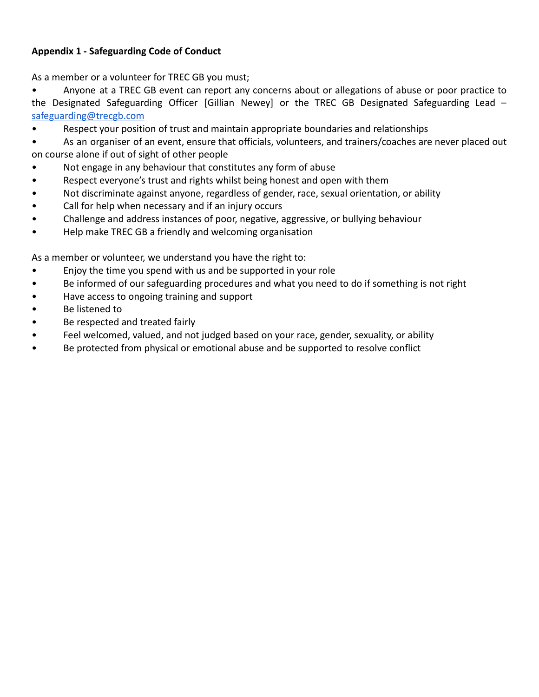#### **Appendix 1 - Safeguarding Code of Conduct**

As a member or a volunteer for TREC GB you must;

• Anyone at a TREC GB event can report any concerns about or allegations of abuse or poor practice to the Designated Safeguarding Officer [Gillian Newey] or the TREC GB Designated Safeguarding Lead – [safeguarding@trecgb.com](mailto:safeguarding@trecgb.com)

• Respect your position of trust and maintain appropriate boundaries and relationships

• As an organiser of an event, ensure that officials, volunteers, and trainers/coaches are never placed out on course alone if out of sight of other people

- Not engage in any behaviour that constitutes any form of abuse
- Respect everyone's trust and rights whilst being honest and open with them
- Not discriminate against anyone, regardless of gender, race, sexual orientation, or ability
- Call for help when necessary and if an injury occurs
- Challenge and address instances of poor, negative, aggressive, or bullying behaviour
- Help make TREC GB a friendly and welcoming organisation

As a member or volunteer, we understand you have the right to:

- Enjoy the time you spend with us and be supported in your role
- Be informed of our safeguarding procedures and what you need to do if something is not right
- Have access to ongoing training and support
- Be listened to
- Be respected and treated fairly
- Feel welcomed, valued, and not judged based on your race, gender, sexuality, or ability
- Be protected from physical or emotional abuse and be supported to resolve conflict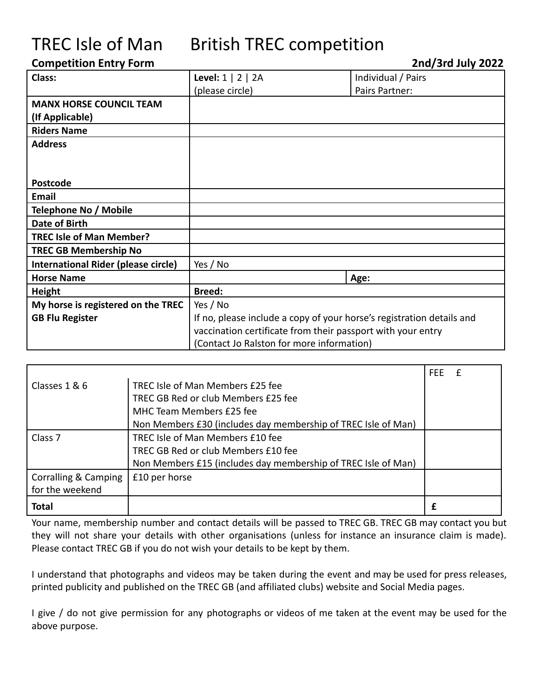## TREC Isle of Man British TREC competition

#### **Competition Entry Form 2nd/3rd July 2022**

| Class:                              | Level: $1 \mid 2 \mid 2A$                                             | Individual / Pairs |
|-------------------------------------|-----------------------------------------------------------------------|--------------------|
|                                     | (please circle)                                                       | Pairs Partner:     |
| <b>MANX HORSE COUNCIL TEAM</b>      |                                                                       |                    |
| (If Applicable)                     |                                                                       |                    |
| <b>Riders Name</b>                  |                                                                       |                    |
| <b>Address</b>                      |                                                                       |                    |
|                                     |                                                                       |                    |
|                                     |                                                                       |                    |
| <b>Postcode</b>                     |                                                                       |                    |
| Email                               |                                                                       |                    |
| Telephone No / Mobile               |                                                                       |                    |
| Date of Birth                       |                                                                       |                    |
| <b>TREC Isle of Man Member?</b>     |                                                                       |                    |
| <b>TREC GB Membership No</b>        |                                                                       |                    |
| International Rider (please circle) | Yes / No                                                              |                    |
| <b>Horse Name</b>                   |                                                                       | Age:               |
| <b>Height</b>                       | <b>Breed:</b>                                                         |                    |
| My horse is registered on the TREC  | Yes / No                                                              |                    |
| <b>GB Flu Register</b>              | If no, please include a copy of your horse's registration details and |                    |
|                                     | vaccination certificate from their passport with your entry           |                    |
|                                     | (Contact Jo Ralston for more information)                             |                    |

|                                 |                                                               | <b>FEE</b> |  |
|---------------------------------|---------------------------------------------------------------|------------|--|
| Classes 1 & 6                   | TREC Isle of Man Members £25 fee                              |            |  |
|                                 | TREC GB Red or club Members £25 fee                           |            |  |
|                                 | MHC Team Members £25 fee                                      |            |  |
|                                 | Non Members £30 (includes day membership of TREC Isle of Man) |            |  |
| Class <sub>7</sub>              | TREC Isle of Man Members £10 fee                              |            |  |
|                                 | TREC GB Red or club Members £10 fee                           |            |  |
|                                 | Non Members £15 (includes day membership of TREC Isle of Man) |            |  |
| <b>Corralling &amp; Camping</b> | £10 per horse                                                 |            |  |
| for the weekend                 |                                                               |            |  |
| <b>Total</b>                    |                                                               |            |  |

Your name, membership number and contact details will be passed to TREC GB. TREC GB may contact you but they will not share your details with other organisations (unless for instance an insurance claim is made). Please contact TREC GB if you do not wish your details to be kept by them.

I understand that photographs and videos may be taken during the event and may be used for press releases, printed publicity and published on the TREC GB (and affiliated clubs) website and Social Media pages.

I give / do not give permission for any photographs or videos of me taken at the event may be used for the above purpose.